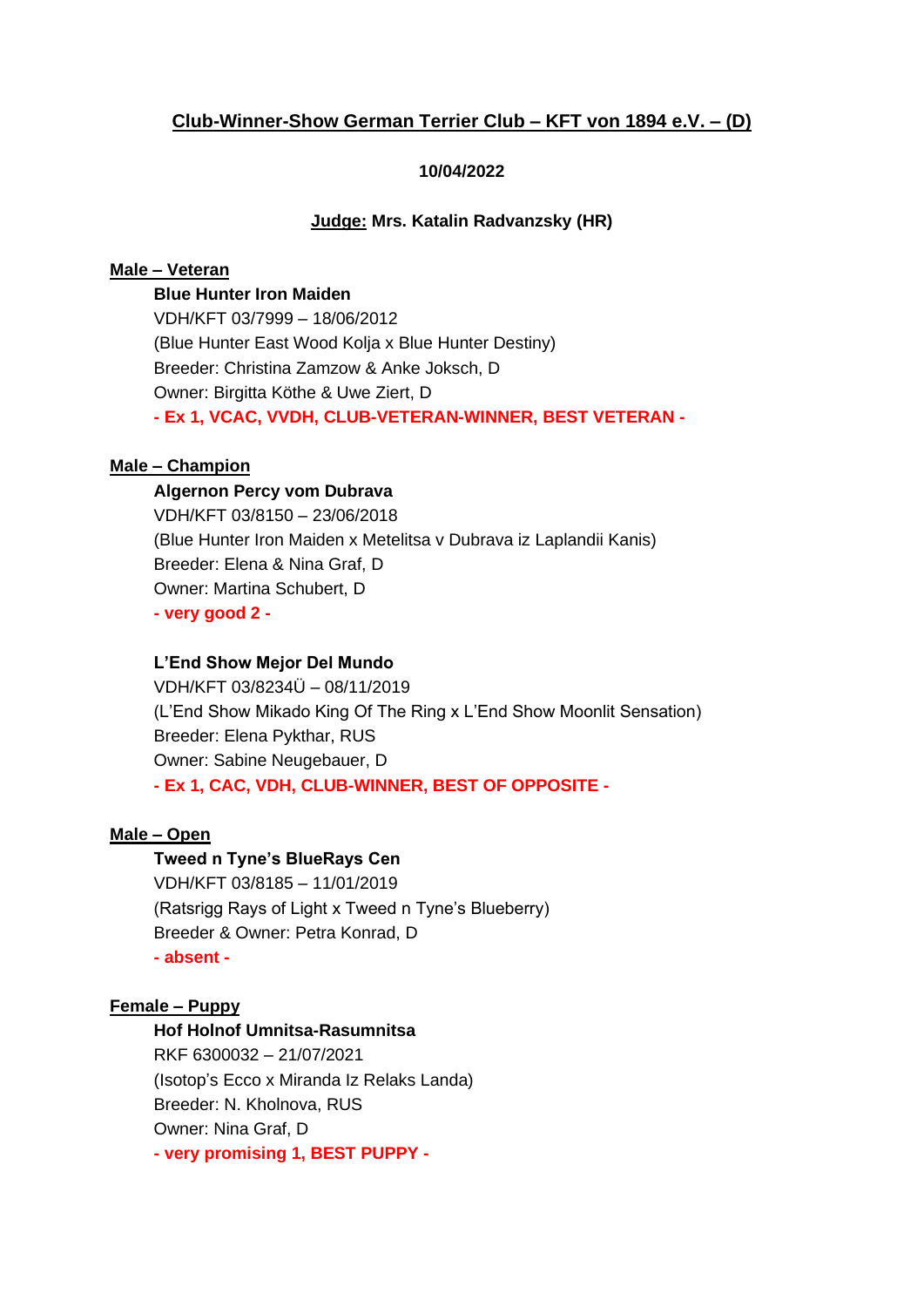# **Club-Winner-Show German Terrier Club – KFT von 1894 e.V. – (D)**

## **10/04/2022**

## **Judge: Mrs. Katalin Radvanzsky (HR)**

## **Male – Veteran**

**Blue Hunter Iron Maiden** VDH/KFT 03/7999 – 18/06/2012 (Blue Hunter East Wood Kolja x Blue Hunter Destiny) Breeder: Christina Zamzow & Anke Joksch, D Owner: Birgitta Köthe & Uwe Ziert, D **- Ex 1, VCAC, VVDH, CLUB-VETERAN-WINNER, BEST VETERAN -**

## **Male – Champion**

### **Algernon Percy vom Dubrava**

VDH/KFT 03/8150 – 23/06/2018 (Blue Hunter Iron Maiden x Metelitsa v Dubrava iz Laplandii Kanis) Breeder: Elena & Nina Graf, D Owner: Martina Schubert, D **- very good 2 -**

## **L'End Show Mejor Del Mundo**

VDH/KFT 03/8234Ü – 08/11/2019 (L'End Show Mikado King Of The Ring x L'End Show Moonlit Sensation) Breeder: Elena Pykthar, RUS Owner: Sabine Neugebauer, D **- Ex 1, CAC, VDH, CLUB-WINNER, BEST OF OPPOSITE -**

### **Male – Open**

**Tweed n Tyne's BlueRays Cen** VDH/KFT 03/8185 – 11/01/2019 (Ratsrigg Rays of Light x Tweed n Tyne's Blueberry) Breeder & Owner: Petra Konrad, D **- absent -**

## **Female – Puppy**

# **Hof Holnof Umnitsa-Rasumnitsa** RKF 6300032 – 21/07/2021 (Isotop's Ecco x Miranda Iz Relaks Landa) Breeder: N. Kholnova, RUS Owner: Nina Graf, D **- very promising 1, BEST PUPPY -**